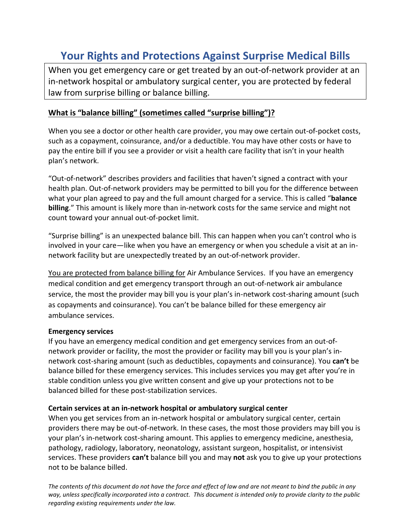# **Your Rights and Protections Against Surprise Medical Bills**

When you get emergency care or get treated by an out-of-network provider at an in-network hospital or ambulatory surgical center, you are protected by federal law from surprise billing or balance billing.

### **What is "balance billing" (sometimes called "surprise billing")?**

When you see a doctor or other health care provider, you may owe certain out-of-pocket costs, such as a copayment, coinsurance, and/or a deductible. You may have other costs or have to pay the entire bill if you see a provider or visit a health care facility that isn't in your health plan's network.

"Out-of-network" describes providers and facilities that haven't signed a contract with your health plan. Out-of-network providers may be permitted to bill you for the difference between what your plan agreed to pay and the full amount charged for a service. This is called "**balance billing**." This amount is likely more than in-network costs for the same service and might not count toward your annual out-of-pocket limit.

"Surprise billing" is an unexpected balance bill. This can happen when you can't control who is involved in your care—like when you have an emergency or when you schedule a visit at an innetwork facility but are unexpectedly treated by an out-of-network provider.

You are protected from balance billing for Air Ambulance Services. If you have an emergency medical condition and get emergency transport through an out-of-network air ambulance service, the most the provider may bill you is your plan's in-network cost-sharing amount (such as copayments and coinsurance). You can't be balance billed for these emergency air ambulance services.

#### **Emergency services**

If you have an emergency medical condition and get emergency services from an out-ofnetwork provider or facility, the most the provider or facility may bill you is your plan's innetwork cost-sharing amount (such as deductibles, copayments and coinsurance). You **can't** be balance billed for these emergency services. This includes services you may get after you're in stable condition unless you give written consent and give up your protections not to be balanced billed for these post-stabilization services.

#### **Certain services at an in-network hospital or ambulatory surgical center**

When you get services from an in-network hospital or ambulatory surgical center, certain providers there may be out-of-network. In these cases, the most those providers may bill you is your plan's in-network cost-sharing amount. This applies to emergency medicine, anesthesia, pathology, radiology, laboratory, neonatology, assistant surgeon, hospitalist, or intensivist services. These providers **can't** balance bill you and may **not** ask you to give up your protections not to be balance billed.

*The contents of this document do not have the force and effect of law and are not meant to bind the public in any way, unless specifically incorporated into a contract. This document is intended only to provide clarity to the public regarding existing requirements under the law.*